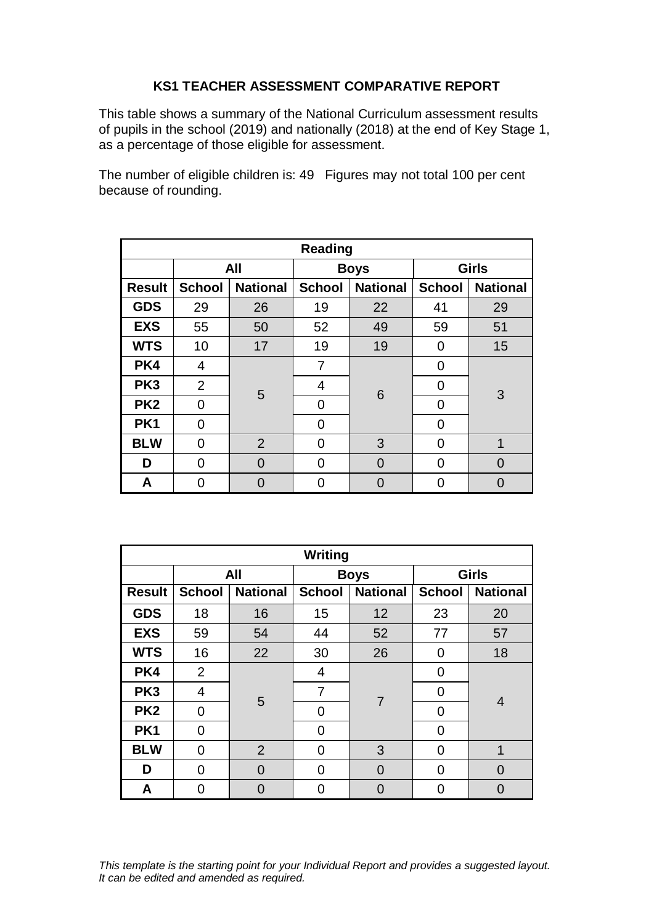## **KS1 TEACHER ASSESSMENT COMPARATIVE REPORT**

This table shows a summary of the National Curriculum assessment results of pupils in the school (2019) and nationally (2018) at the end of Key Stage 1, as a percentage of those eligible for assessment.

The number of eligible children is: 49 Figures may not total 100 per cent because of rounding.

| Reading         |                |                 |               |                 |               |                 |  |
|-----------------|----------------|-----------------|---------------|-----------------|---------------|-----------------|--|
|                 | All            |                 | <b>Boys</b>   |                 | <b>Girls</b>  |                 |  |
| <b>Result</b>   | <b>School</b>  | <b>National</b> | <b>School</b> | <b>National</b> | <b>School</b> | <b>National</b> |  |
| <b>GDS</b>      | 29             | 26              | 19            | 22              | 41            | 29              |  |
| <b>EXS</b>      | 55             | 50              | 52            | 49              | 59            | 51              |  |
| <b>WTS</b>      | 10             | 17              | 19            | 19              | 0             | 15              |  |
| PK4             | 4              | 5               | 7             | 6               | 0             | 3               |  |
| PK <sub>3</sub> | $\overline{2}$ |                 | 4             |                 | 0             |                 |  |
| PK <sub>2</sub> | 0              |                 | 0             |                 | 0             |                 |  |
| PK <sub>1</sub> | 0              |                 | 0             |                 | 0             |                 |  |
| <b>BLW</b>      | $\Omega$       | $\overline{2}$  | 0             | 3               | 0             | 1               |  |
| D               | 0              | 0               | 0             | $\Omega$        | 0             | $\Omega$        |  |
| A               | በ              | O               | O             |                 | 0             | U               |  |

| <b>Writing</b>  |                |                 |               |                 |               |                 |  |
|-----------------|----------------|-----------------|---------------|-----------------|---------------|-----------------|--|
|                 | All            |                 | <b>Boys</b>   |                 | <b>Girls</b>  |                 |  |
| <b>Result</b>   | <b>School</b>  | <b>National</b> | <b>School</b> | <b>National</b> | <b>School</b> | <b>National</b> |  |
| <b>GDS</b>      | 18             | 16              | 15            | 12              | 23            | 20              |  |
| <b>EXS</b>      | 59             | 54              | 44            | 52              | 77            | 57              |  |
| <b>WTS</b>      | 16             | 22              | 30            | 26              | O             | 18              |  |
| PK4             | $\overline{2}$ |                 | 4             | $\overline{7}$  | 0             | 4               |  |
| PK <sub>3</sub> | $\overline{4}$ | 5               | 7             |                 | 0             |                 |  |
| PK <sub>2</sub> | $\Omega$       |                 | 0             |                 | 0             |                 |  |
| PK <sub>1</sub> | $\overline{0}$ |                 | 0             |                 | 0             |                 |  |
| <b>BLW</b>      | 0              | $\overline{2}$  | 0             | 3               | 0             | 1               |  |
| D               | $\Omega$       | $\Omega$        | 0             | $\Omega$        | 0             | $\Omega$        |  |
| A               | 0              | $\Omega$        | 0             |                 | 0             | 0               |  |

*This template is the starting point for your Individual Report and provides a suggested layout. It can be edited and amended as required.*